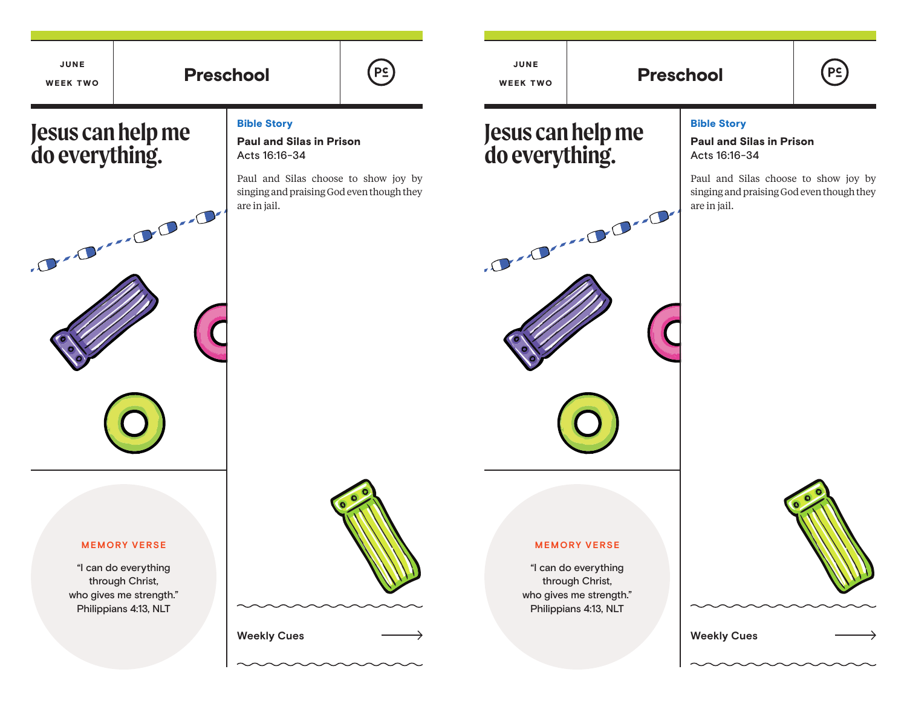